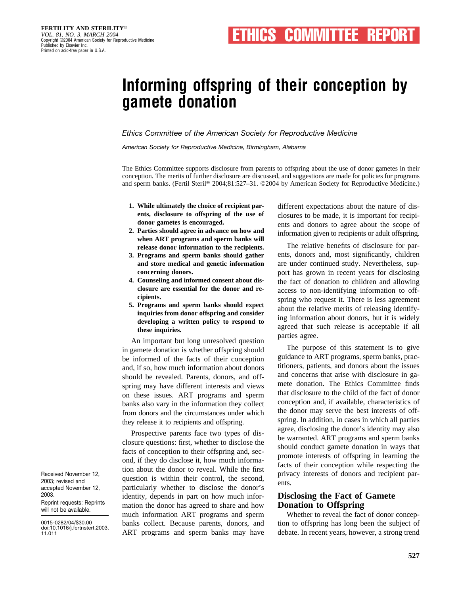# **Informing offspring of their conception by gamete donation**

*Ethics Committee of the American Society for Reproductive Medicine*

*American Society for Reproductive Medicine, Birmingham, Alabama*

The Ethics Committee supports disclosure from parents to offspring about the use of donor gametes in their conception. The merits of further disclosure are discussed, and suggestions are made for policies for programs and sperm banks. (Fertil Steril® 2004;81:527-31. ©2004 by American Society for Reproductive Medicine.)

- **1. While ultimately the choice of recipient parents, disclosure to offspring of the use of donor gametes is encouraged.**
- **2. Parties should agree in advance on how and when ART programs and sperm banks will release donor information to the recipients.**
- **3. Programs and sperm banks should gather and store medical and genetic information concerning donors.**
- **4. Counseling and informed consent about disclosure are essential for the donor and recipients.**
- **5. Programs and sperm banks should expect inquiries from donor offspring and consider developing a written policy to respond to these inquiries.**

An important but long unresolved question in gamete donation is whether offspring should be informed of the facts of their conception and, if so, how much information about donors should be revealed. Parents, donors, and offspring may have different interests and views on these issues. ART programs and sperm banks also vary in the information they collect from donors and the circumstances under which they release it to recipients and offspring.

Prospective parents face two types of disclosure questions: first, whether to disclose the facts of conception to their offspring and, second, if they do disclose it, how much information about the donor to reveal. While the first question is within their control, the second, particularly whether to disclose the donor's identity, depends in part on how much information the donor has agreed to share and how much information ART programs and sperm banks collect. Because parents, donors, and ART programs and sperm banks may have different expectations about the nature of disclosures to be made, it is important for recipients and donors to agree about the scope of information given to recipients or adult offspring.

The relative benefits of disclosure for parents, donors and, most significantly, children are under continued study. Nevertheless, support has grown in recent years for disclosing the fact of donation to children and allowing access to non-identifying information to offspring who request it. There is less agreement about the relative merits of releasing identifying information about donors, but it is widely agreed that such release is acceptable if all parties agree.

The purpose of this statement is to give guidance to ART programs, sperm banks, practitioners, patients, and donors about the issues and concerns that arise with disclosure in gamete donation. The Ethics Committee finds that disclosure to the child of the fact of donor conception and, if available, characteristics of the donor may serve the best interests of offspring. In addition, in cases in which all parties agree, disclosing the donor's identity may also be warranted. ART programs and sperm banks should conduct gamete donation in ways that promote interests of offspring in learning the facts of their conception while respecting the privacy interests of donors and recipient parents.

## **Disclosing the Fact of Gamete Donation to Offspring**

Whether to reveal the fact of donor conception to offspring has long been the subject of debate. In recent years, however, a strong trend

Received November 12, 2003; revised and accepted November 12, 2003. Reprint requests: Reprints will not be available.

0015-0282/04/\$30.00 doi:10.1016/j.fertnstert.2003. 11.011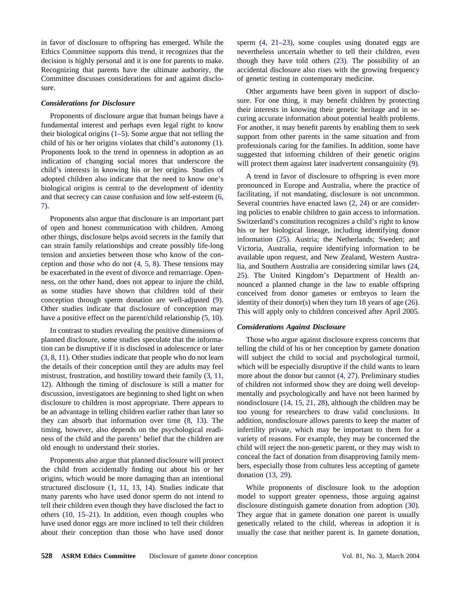in favor of disclosure to offspring has emerged. While the Ethics Committee supports this trend, it recognizes that the decision is highly personal and it is one for parents to make. Recognizing that parents have the ultimate authority, the Committee discusses considerations for and against disclosure.

## *Considerations for Disclosure*

Proponents of disclosure argue that human beings have a fundamental interest and perhaps even legal right to know their biological origins  $(1–5)$ . Some argue that not telling the child of his or her origins violates that child's autonomy (1). Proponents look to the trend in openness in adoption as an indication of changing social mores that underscore the child's interests in knowing his or her origins. Studies of adopted children also indicate that the need to know one's biological origins is central to the development of identity and that secrecy can cause confusion and low self-esteem (6, 7).

Proponents also argue that disclosure is an important part of open and honest communication with children. Among other things, disclosure helps avoid secrets in the family that can strain family relationships and create possibly life-long tension and anxieties between those who know of the conception and those who do not (4, 5, 8). These tensions may be exacerbated in the event of divorce and remarriage. Openness, on the other hand, does not appear to injure the child, as some studies have shown that children told of their conception through sperm donation are well-adjusted (9). Other studies indicate that disclosure of conception may have a positive effect on the parent/child relationship (5, 10).

In contrast to studies revealing the positive dimensions of planned disclosure, some studies speculate that the information can be disruptive if it is disclosed in adolescence or later (3, 8, 11). Other studies indicate that people who do not learn the details of their conception until they are adults may feel mistrust, frustration, and hostility toward their family (3, 11, 12). Although the timing of disclosure is still a matter for discussion, investigators are beginning to shed light on when disclosure to children is most appropriate. There appears to be an advantage in telling children earlier rather than later so they can absorb that information over time (8, 13). The timing, however, also depends on the psychological readiness of the child and the parents' belief that the children are old enough to understand their stories.

Proponents also argue that planned disclosure will protect the child from accidentally finding out about his or her origins, which would be more damaging than an intentional structured disclosure (1, 11, 13, 14). Studies indicate that many parents who have used donor sperm do not intend to tell their children even though they have disclosed the fact to others (10, 15–21). In addition, even though couples who have used donor eggs are more inclined to tell their children about their conception than those who have used donor

sperm (4, 21–23), some couples using donated eggs are nevertheless uncertain whether to tell their children, even though they have told others (23). The possibility of an accidental disclosure also rises with the growing frequency of genetic testing in contemporary medicine.

Other arguments have been given in support of disclosure. For one thing, it may benefit children by protecting their interests in knowing their genetic heritage and in securing accurate information about potential health problems. For another, it may benefit parents by enabling them to seek support from other parents in the same situation and from professionals caring for the families. In addition, some have suggested that informing children of their genetic origins will protect them against later inadvertent consanguinity (9).

A trend in favor of disclosure to offspring is even more pronounced in Europe and Australia, where the practice of facilitating, if not mandating, disclosure is not uncommon. Several countries have enacted laws (2, 24) or are considering policies to enable children to gain access to information. Switzerland's constitution recognizes a child's right to know his or her biological lineage, including identifying donor information (25). Austria; the Netherlands; Sweden; and Victoria, Australia, require identifying information to be available upon request, and New Zealand, Western Australia, and Southern Australia are considering similar laws (24, 25). The United Kingdom's Department of Health announced a planned change in the law to enable offspring conceived from donor gametes or embryos to learn the identity of their donor(s) when they turn 18 years of age (26). This will apply only to children conceived after April 2005.

### *Considerations Against Disclosure*

Those who argue against disclosure express concerns that telling the child of his or her conception by gamete donation will subject the child to social and psychological turmoil, which will be especially disruptive if the child wants to learn more about the donor but cannot (4, 27). Preliminary studies of children not informed show they are doing well developmentally and psychologically and have not been harmed by nondisclosure (14, 15, 21, 28), although the children may be too young for researchers to draw valid conclusions. In addition, nondisclosure allows parents to keep the matter of infertility private, which may be important to them for a variety of reasons. For example, they may be concerned the child will reject the non-genetic parent, or they may wish to conceal the fact of donation from disapproving family members, especially those from cultures less accepting of gamete donation (13, 29).

While proponents of disclosure look to the adoption model to support greater openness, those arguing against disclosure distinguish gamete donation from adoption (30). They argue that in gamete donation one parent is usually genetically related to the child, whereas in adoption it is usually the case that neither parent is. In gamete donation,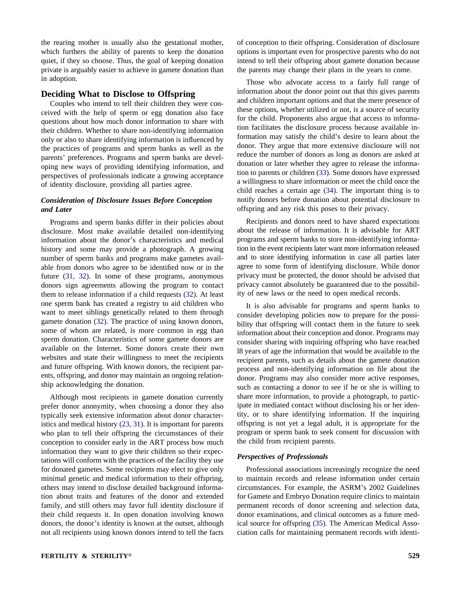the rearing mother is usually also the gestational mother, which furthers the ability of parents to keep the donation quiet, if they so choose. Thus, the goal of keeping donation private is arguably easier to achieve in gamete donation than in adoption.

## **Deciding What to Disclose to Offspring**

Couples who intend to tell their children they were conceived with the help of sperm or egg donation also face questions about how much donor information to share with their children. Whether to share non-identifying information only or also to share identifying information is influenced by the practices of programs and sperm banks as well as the parents' preferences. Programs and sperm banks are developing new ways of providing identifying information, and perspectives of professionals indicate a growing acceptance of identity disclosure, providing all parties agree.

## *Consideration of Disclosure Issues Before Conception and Later*

Programs and sperm banks differ in their policies about disclosure. Most make available detailed non-identifying information about the donor's characteristics and medical history and some may provide a photograph. A growing number of sperm banks and programs make gametes available from donors who agree to be identified now or in the future (31, 32). In some of these programs, anonymous donors sign agreements allowing the program to contact them to release information if a child requests (32). At least one sperm bank has created a registry to aid children who want to meet siblings genetically related to them through gamete donation (32). The practice of using known donors, some of whom are related, is more common in egg than sperm donation. Characteristics of some gamete donors are available on the Internet. Some donors create their own websites and state their willingness to meet the recipients and future offspring. With known donors, the recipient parents, offspring, and donor may maintain an ongoing relationship acknowledging the donation.

Although most recipients in gamete donation currently prefer donor anonymity, when choosing a donor they also typically seek extensive information about donor characteristics and medical history (23, 31). It is important for parents who plan to tell their offspring the circumstances of their conception to consider early in the ART process how much information they want to give their children so their expectations will conform with the practices of the facility they use for donated gametes. Some recipients may elect to give only minimal genetic and medical information to their offspring, others may intend to disclose detailed background information about traits and features of the donor and extended family, and still others may favor full identity disclosure if their child requests it. In open donation involving known donors, the donor's identity is known at the outset, although not all recipients using known donors intend to tell the facts

of conception to their offspring. Consideration of disclosure options is important even for prospective parents who do not intend to tell their offspring about gamete donation because the parents may change their plans in the years to come.

Those who advocate access to a fairly full range of information about the donor point out that this gives parents and children important options and that the mere presence of these options, whether utilized or not, is a source of security for the child. Proponents also argue that access to information facilitates the disclosure process because available information may satisfy the child's desire to learn about the donor. They argue that more extensive disclosure will not reduce the number of donors as long as donors are asked at donation or later whether they agree to release the information to parents or children (33). Some donors have expressed a willingness to share information or meet the child once the child reaches a certain age (34). The important thing is to notify donors before donation about potential disclosure to offspring and any risk this poses to their privacy.

Recipients and donors need to have shared expectations about the release of information. It is advisable for ART programs and sperm banks to store non-identifying information in the event recipients later want more information released and to store identifying information in case all parties later agree to some form of identifying disclosure. While donor privacy must be protected, the donor should be advised that privacy cannot absolutely be guaranteed due to the possibility of new laws or the need to open medical records.

It is also advisable for programs and sperm banks to consider developing policies now to prepare for the possibility that offspring will contact them in the future to seek information about their conception and donor. Programs may consider sharing with inquiring offspring who have reached l8 years of age the information that would be available to the recipient parents, such as details about the gamete donation process and non-identifying information on file about the donor. Programs may also consider more active responses, such as contacting a donor to see if he or she is willing to share more information, to provide a photograph, to participate in mediated contact without disclosing his or her identity, or to share identifying information. If the inquiring offspring is not yet a legal adult, it is appropriate for the program or sperm bank to seek consent for discussion with the child from recipient parents.

### *Perspectives of Professionals*

Professional associations increasingly recognize the need to maintain records and release information under certain circumstances. For example, the ASRM's 2002 Guidelines for Gamete and Embryo Donation require clinics to maintain permanent records of donor screening and selection data, donor examinations, and clinical outcomes as a future medical source for offspring (35). The American Medical Association calls for maintaining permanent records with identi-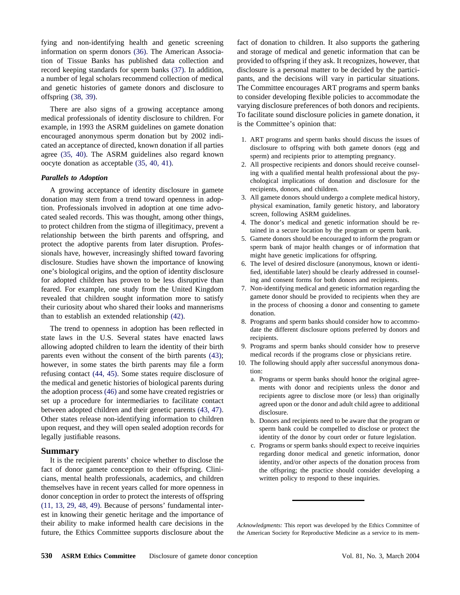fying and non-identifying health and genetic screening information on sperm donors (36). The American Association of Tissue Banks has published data collection and record keeping standards for sperm banks (37). In addition, a number of legal scholars recommend collection of medical and genetic histories of gamete donors and disclosure to offspring (38, 39).

There are also signs of a growing acceptance among medical professionals of identity disclosure to children. For example, in 1993 the ASRM guidelines on gamete donation encouraged anonymous sperm donation but by 2002 indicated an acceptance of directed, known donation if all parties agree (35, 40). The ASRM guidelines also regard known oocyte donation as acceptable (35, 40, 41).

## *Parallels to Adoption*

A growing acceptance of identity disclosure in gamete donation may stem from a trend toward openness in adoption. Professionals involved in adoption at one time advocated sealed records. This was thought, among other things, to protect children from the stigma of illegitimacy, prevent a relationship between the birth parents and offspring, and protect the adoptive parents from later disruption. Professionals have, however, increasingly shifted toward favoring disclosure. Studies have shown the importance of knowing one's biological origins, and the option of identity disclosure for adopted children has proven to be less disruptive than feared. For example, one study from the United Kingdom revealed that children sought information more to satisfy their curiosity about who shared their looks and mannerisms than to establish an extended relationship (42).

The trend to openness in adoption has been reflected in state laws in the U.S. Several states have enacted laws allowing adopted children to learn the identity of their birth parents even without the consent of the birth parents (43); however, in some states the birth parents may file a form refusing contact (44, 45). Some states require disclosure of the medical and genetic histories of biological parents during the adoption process (46) and some have created registries or set up a procedure for intermediaries to facilitate contact between adopted children and their genetic parents (43, 47). Other states release non-identifying information to children upon request, and they will open sealed adoption records for legally justifiable reasons.

## **Summary**

It is the recipient parents' choice whether to disclose the fact of donor gamete conception to their offspring. Clinicians, mental health professionals, academics, and children themselves have in recent years called for more openness in donor conception in order to protect the interests of offspring (11, 13, 29, 48, 49). Because of persons' fundamental interest in knowing their genetic heritage and the importance of their ability to make informed health care decisions in the future, the Ethics Committee supports disclosure about the

fact of donation to children. It also supports the gathering and storage of medical and genetic information that can be provided to offspring if they ask. It recognizes, however, that disclosure is a personal matter to be decided by the participants, and the decisions will vary in particular situations. The Committee encourages ART programs and sperm banks to consider developing flexible policies to accommodate the varying disclosure preferences of both donors and recipients. To facilitate sound disclosure policies in gamete donation, it is the Committee's opinion that:

- 1. ART programs and sperm banks should discuss the issues of disclosure to offspring with both gamete donors (egg and sperm) and recipients prior to attempting pregnancy.
- 2. All prospective recipients and donors should receive counseling with a qualified mental health professional about the psychological implications of donation and disclosure for the recipients, donors, and children.
- 3. All gamete donors should undergo a complete medical history, physical examination, family genetic history, and laboratory screen, following ASRM guidelines.
- 4. The donor's medical and genetic information should be retained in a secure location by the program or sperm bank.
- 5. Gamete donors should be encouraged to inform the program or sperm bank of major health changes or of information that might have genetic implications for offspring.
- 6. The level of desired disclosure (anonymous, known or identified, identifiable later) should be clearly addressed in counseling and consent forms for both donors and recipients.
- 7. Non-identifying medical and genetic information regarding the gamete donor should be provided to recipients when they are in the process of choosing a donor and consenting to gamete donation.
- 8. Programs and sperm banks should consider how to accommodate the different disclosure options preferred by donors and recipients.
- 9. Programs and sperm banks should consider how to preserve medical records if the programs close or physicians retire.
- 10. The following should apply after successful anonymous donation:
	- a. Programs or sperm banks should honor the original agreements with donor and recipients unless the donor and recipients agree to disclose more (or less) than originally agreed upon or the donor and adult child agree to additional disclosure.
	- b. Donors and recipients need to be aware that the program or sperm bank could be compelled to disclose or protect the identity of the donor by court order or future legislation.
	- c. Programs or sperm banks should expect to receive inquiries regarding donor medical and genetic information, donor identity, and/or other aspects of the donation process from the offspring; the practice should consider developing a written policy to respond to these inquiries.

*Acknowledgments:* This report was developed by the Ethics Committee of the American Society for Reproductive Medicine as a service to its mem-